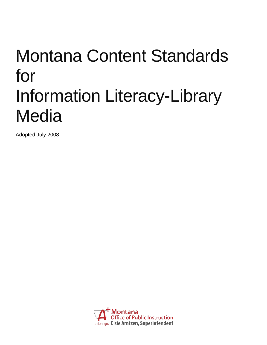# Montana Content Standards for Information Literacy-Library **Media**

Adopted July 2008

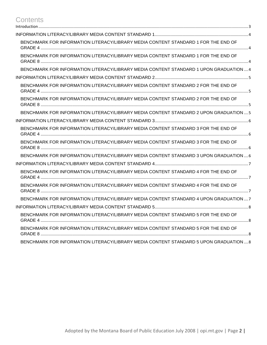## **Contents**

| BENCHMARK FOR INFORMATION LITERACY/LIBRARY MEDIA CONTENT STANDARD 1 FOR THE END OF     |
|----------------------------------------------------------------------------------------|
| BENCHMARK FOR INFORMATION LITERACY/LIBRARY MEDIA CONTENT STANDARD 1 FOR THE END OF     |
| BENCHMARK FOR INFORMATION LITERACY/LIBRARY MEDIA CONTENT STANDARD 1 UPON GRADUATION  4 |
|                                                                                        |
| BENCHMARK FOR INFORMATION LITERACY/LIBRARY MEDIA CONTENT STANDARD 2 FOR THE END OF     |
| BENCHMARK FOR INFORMATION LITERACY/LIBRARY MEDIA CONTENT STANDARD 2 FOR THE END OF     |
| BENCHMARK FOR INFORMATION LITERACY/LIBRARY MEDIA CONTENT STANDARD 2 UPON GRADUATION  5 |
|                                                                                        |
| BENCHMARK FOR INFORMATION LITERACY/LIBRARY MEDIA CONTENT STANDARD 3 FOR THE END OF     |
| BENCHMARK FOR INFORMATION LITERACY/LIBRARY MEDIA CONTENT STANDARD 3 FOR THE END OF     |
| BENCHMARK FOR INFORMATION LITERACY/LIBRARY MEDIA CONTENT STANDARD 3 UPON GRADUATION  6 |
|                                                                                        |
| BENCHMARK FOR INFORMATION LITERACY/LIBRARY MEDIA CONTENT STANDARD 4 FOR THE END OF     |
| BENCHMARK FOR INFORMATION LITERACY/LIBRARY MEDIA CONTENT STANDARD 4 FOR THE END OF     |
| BENCHMARK FOR INFORMATION LITERACY/LIBRARY MEDIA CONTENT STANDARD 4 UPON GRADUATION  7 |
|                                                                                        |
| BENCHMARK FOR INFORMATION LITERACY/LIBRARY MEDIA CONTENT STANDARD 5 FOR THE END OF     |
| BENCHMARK FOR INFORMATION LITERACY/LIBRARY MEDIA CONTENT STANDARD 5 FOR THE END OF     |
| BENCHMARK FOR INFORMATION LITERACY/LIBRARY MEDIA CONTENT STANDARD 5 UPON GRADUATION8   |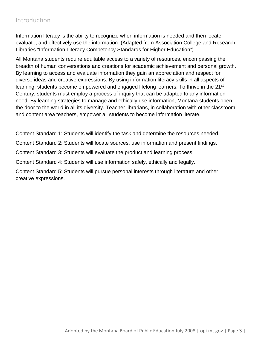### <span id="page-2-0"></span>Introduction

Information literacy is the ability to recognize when information is needed and then locate, evaluate, and effectively use the information. (Adapted from Association College and Research Libraries "Information Literacy Competency Standards for Higher Education")

All Montana students require equitable access to a variety of resources, encompassing the breadth of human conversations and creations for academic achievement and personal growth. By learning to access and evaluate information they gain an appreciation and respect for diverse ideas and creative expressions. By using information literacy skills in all aspects of learning, students become empowered and engaged lifelong learners. To thrive in the 21<sup>st</sup> Century, students must employ a process of inquiry that can be adapted to any information need. By learning strategies to manage and ethically use information, Montana students open the door to the world in all its diversity. Teacher librarians, in collaboration with other classroom and content area teachers, empower all students to become information literate.

Content Standard 1: Students will identify the task and determine the resources needed.

Content Standard 2: Students will locate sources, use information and present findings.

Content Standard 3: Students will evaluate the product and learning process.

Content Standard 4: Students will use information safely, ethically and legally.

Content Standard 5: Students will pursue personal interests through literature and other creative expressions.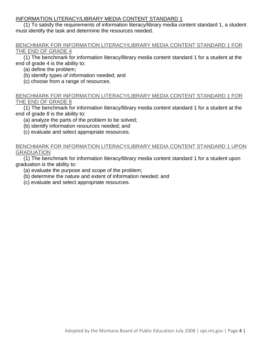<span id="page-3-0"></span>(1) To satisfy the requirements of information literacy/library media content standard 1, a student must identify the task and determine the resources needed.

#### <span id="page-3-1"></span>BENCHMARK FOR INFORMATION LITERACY/LIBRARY MEDIA CONTENT STANDARD 1 FOR THE END OF GRADE 4

(1) The benchmark for information literacy/library media content standard 1 for a student at the end of grade 4 is the ability to:

- (a) define the problem;
- (b) identify types of information needed; and
- (c) choose from a range of resources.

#### <span id="page-3-2"></span>BENCHMARK FOR INFORMATION LITERACY/LIBRARY MEDIA CONTENT STANDARD 1 FOR THE END OF GRADE 8

(1) The benchmark for information literacy/library media content standard 1 for a student at the end of grade 8 is the ability to:

- (a) analyze the parts of the problem to be solved;
- (b) identify information resources needed; and
- (c) evaluate and select appropriate resources.

#### <span id="page-3-3"></span>BENCHMARK FOR INFORMATION LITERACY/LIBRARY MEDIA CONTENT STANDARD 1 UPON **GRADUATION**

(1) The benchmark for information literacy/library media content standard 1 for a student upon graduation is the ability to:

- (a) evaluate the purpose and scope of the problem;
- (b) determine the nature and extent of information needed; and
- (c) evaluate and select appropriate resources.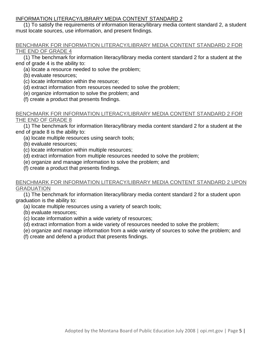<span id="page-4-0"></span>(1) To satisfy the requirements of information literacy/library media content standard 2, a student must locate sources, use information, and present findings.

#### <span id="page-4-1"></span>BENCHMARK FOR INFORMATION LITERACY/LIBRARY MEDIA CONTENT STANDARD 2 FOR THE END OF GRADE 4

(1) The benchmark for information literacy/library media content standard 2 for a student at the end of grade 4 is the ability to:

- (a) locate a resource needed to solve the problem;
- (b) evaluate resources;
- (c) locate information within the resource;
- (d) extract information from resources needed to solve the problem;
- (e) organize information to solve the problem; and
- (f) create a product that presents findings.

#### <span id="page-4-2"></span>BENCHMARK FOR INFORMATION LITERACY/LIBRARY MEDIA CONTENT STANDARD 2 FOR THE END OF GRADE 8

(1) The benchmark for information literacy/library media content standard 2 for a student at the end of grade 8 is the ability to:

- (a) locate multiple resources using search tools;
- (b) evaluate resources;
- (c) locate information within multiple resources;
- (d) extract information from multiple resources needed to solve the problem;
- (e) organize and manage information to solve the problem; and
- (f) create a product that presents findings.

#### <span id="page-4-3"></span>BENCHMARK FOR INFORMATION LITERACY/LIBRARY MEDIA CONTENT STANDARD 2 UPON GRADUATION

(1) The benchmark for information literacy/library media content standard 2 for a student upon graduation is the ability to:

- (a) locate multiple resources using a variety of search tools;
- (b) evaluate resources;
- (c) locate information within a wide variety of resources;
- (d) extract information from a wide variety of resources needed to solve the problem;
- (e) organize and manage information from a wide variety of sources to solve the problem; and
- (f) create and defend a product that presents findings.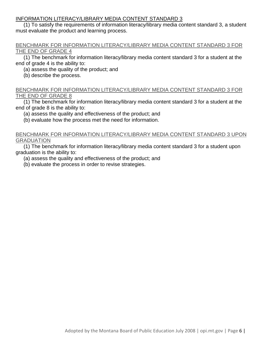<span id="page-5-0"></span>(1) To satisfy the requirements of information literacy/library media content standard 3, a student must evaluate the product and learning process.

#### <span id="page-5-1"></span>BENCHMARK FOR INFORMATION LITERACY/LIBRARY MEDIA CONTENT STANDARD 3 FOR THE END OF GRADE 4

(1) The benchmark for information literacy/library media content standard 3 for a student at the end of grade 4 is the ability to:

(a) assess the quality of the product; and

(b) describe the process.

#### <span id="page-5-2"></span>BENCHMARK FOR INFORMATION LITERACY/LIBRARY MEDIA CONTENT STANDARD 3 FOR THE END OF GRADE 8

(1) The benchmark for information literacy/library media content standard 3 for a student at the end of grade 8 is the ability to:

(a) assess the quality and effectiveness of the product; and

(b) evaluate how the process met the need for information.

#### <span id="page-5-3"></span>BENCHMARK FOR INFORMATION LITERACY/LIBRARY MEDIA CONTENT STANDARD 3 UPON GRADUATION

(1) The benchmark for information literacy/library media content standard 3 for a student upon graduation is the ability to:

(a) assess the quality and effectiveness of the product; and

(b) evaluate the process in order to revise strategies.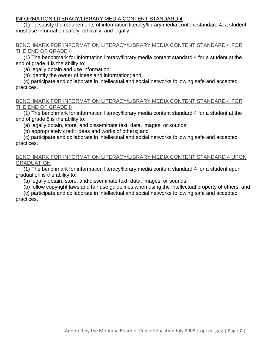<span id="page-6-0"></span>(1) To satisfy the requirements of information literacy/library media content standard 4, a student must use information safely, ethically, and legally.

#### <span id="page-6-1"></span>BENCHMARK FOR INFORMATION LITERACY/LIBRARY MEDIA CONTENT STANDARD 4 FOR THE END OF GRADE 4

(1) The benchmark for information literacy/library media content standard 4 for a student at the end of grade 4 is the ability to:

(a) legally obtain and use information;

(b) identify the owner of ideas and information; and

(c) participate and collaborate in intellectual and social networks following safe and accepted practices.

#### <span id="page-6-2"></span>BENCHMARK FOR INFORMATION LITERACY/LIBRARY MEDIA CONTENT STANDARD 4 FOR THE END OF GRADE 8

(1) The benchmark for information literacy/library media content standard 4 for a student at the end of grade 8 is the ability to:

(a) legally obtain, store, and disseminate text, data, images, or sounds;

(b) appropriately credit ideas and works of others; and

(c) participate and collaborate in intellectual and social networks following safe and accepted practices.

#### <span id="page-6-3"></span>BENCHMARK FOR INFORMATION LITERACY/LIBRARY MEDIA CONTENT STANDARD 4 UPON GRADUATION

(1) The benchmark for information literacy/library media content standard 4 for a student upon graduation is the ability to:

(a) legally obtain, store, and disseminate text, data, images, or sounds;

(b) follow copyright laws and fair use guidelines when using the intellectual property of others; and

(c) participate and collaborate in intellectual and social networks following safe and accepted practices.